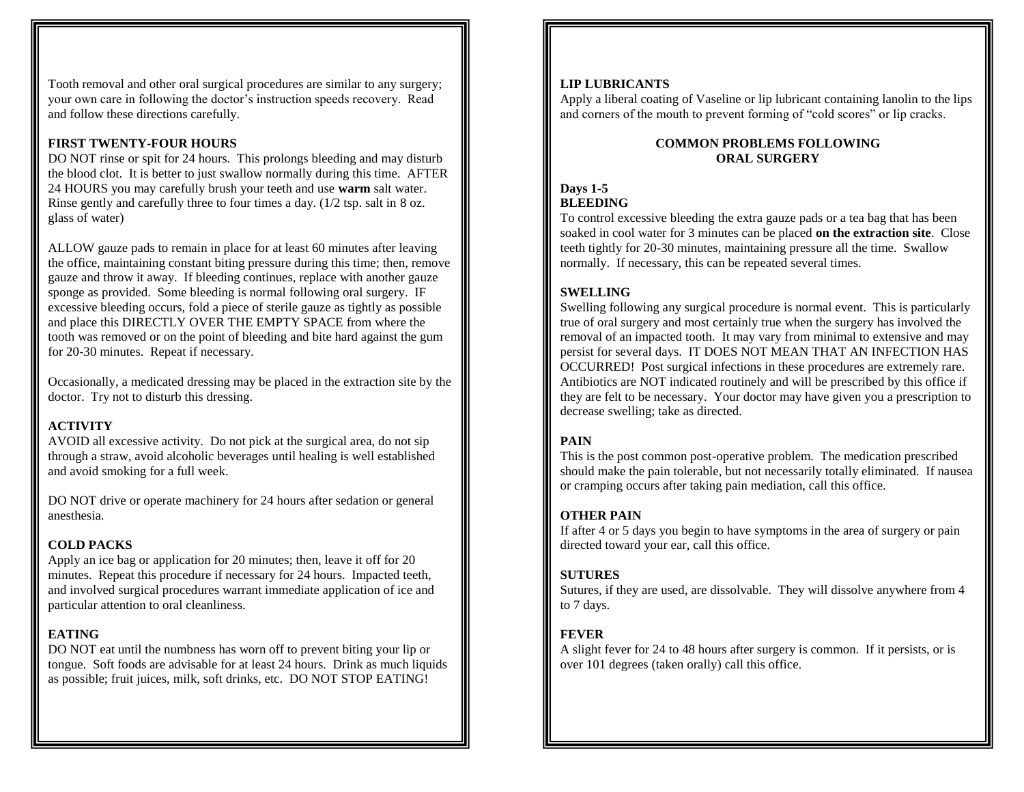Tooth removal and other oral surgical procedures are similar to any surgery; your own care in following the doctor's instruction speeds recovery. Read and follow these directions carefully.

## **FIRST TWENTY-FOUR HOURS**

DO NOT rinse or spit for 24 hours. This prolongs bleeding and may disturb the blood clot. It is better to just swallow normally during this time. AFTER 24 HOURS you may carefully brush your teeth and use **warm** salt water. Rinse gently and carefully three to four times a day. (1/2 tsp. salt in 8 oz. glass of water)

ALLOW gauze pads to remain in place for at least 60 minutes after leaving the office, maintaining constant biting pressure during this time; then, remove gauze and throw it away. If bleeding continues, replace with another gauze sponge as provided. Some bleeding is normal following oral surgery. IF excessive bleeding occurs, fold a piece of sterile gauze as tightly as possible and place this DIRECTLY OVER THE EMPTY SPACE from where the tooth was removed or on the point of bleeding and bite hard against the gum for 20-30 minutes. Repeat if necessary.

Occasionally, a medicated dressing may be placed in the extraction site by the doctor. Try not to disturb this dressing.

# **ACTIVITY**

AVOID all excessive activity. Do not pick at the surgical area, do not sip through a straw, avoid alcoholic beverages until healing is well established and avoid smoking for a full week.

DO NOT drive or operate machinery for 24 hours after sedation or general anesthesia.

## **COLD PACKS**

Apply an ice bag or application for 20 minutes; then, leave it off for 20 minutes. Repeat this procedure if necessary for 24 hours. Impacted teeth, and involved surgical procedures warrant immediate application of ice and particular attention to oral cleanliness.

# **EATING**

DO NOT eat until the numbness has worn off to prevent biting your lip or tongue. Soft foods are advisable for at least 24 hours. Drink as much liquids as possible; fruit juices, milk, soft drinks, etc. DO NOT STOP EATING!

#### **LIP LUBRICANTS**

Apply a liberal coating of Vaseline or lip lubricant containing lanolin to the lips and corners of the mouth to prevent forming of "cold scores" or lip cracks.

#### **COMMON PROBLEMS FOLLOWING ORAL SURGERY**

# **Days 1-5 BLEEDING**

To control excessive bleeding the extra gauze pads or a tea bag that has been soaked in cool water for 3 minutes can be placed **on the extraction site**. Close teeth tightly for 20-30 minutes, maintaining pressure all the time. Swallow normally. If necessary, this can be repeated several times.

# **SWELLING**

Swelling following any surgical procedure is normal event. This is particularly true of oral surgery and most certainly true when the surgery has involved the removal of an impacted tooth. It may vary from minimal to extensive and may persist for several days. IT DOES NOT MEAN THAT AN INFECTION HAS OCCURRED! Post surgical infections in these procedures are extremely rare. Antibiotics are NOT indicated routinely and will be prescribed by this office if they are felt to be necessary. Your doctor may have given you a prescription to decrease swelling; take as directed.

# **PAIN**

This is the post common post-operative problem. The medication prescribed should make the pain tolerable, but not necessarily totally eliminated. If nausea or cramping occurs after taking pain mediation, call this office.

## **OTHER PAIN**

If after 4 or 5 days you begin to have symptoms in the area of surgery or pain directed toward your ear, call this office.

## **SUTURES**

Sutures, if they are used, are dissolvable. They will dissolve anywhere from 4 to 7 days.

## **FEVER**

A slight fever for 24 to 48 hours after surgery is common. If it persists, or is over 101 degrees (taken orally) call this office.